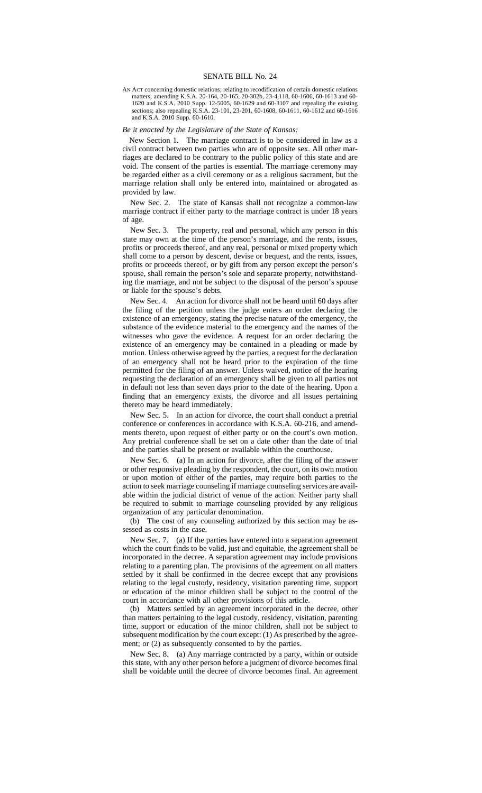AN ACT concerning domestic relations; relating to recodification of certain domestic relations matters; amending K.S.A. 20-164, 20-165, 20-302b, 23-4,118, 60-1606, 60-1613 and 60- 1620 and K.S.A. 2010 Supp. 12-5005, 60-1629 and 60-3107 and repealing the existing sections; also repealing K.S.A. 23-101, 23-201, 60-1608, 60-1611, 60-1612 and 60-1616 and K.S.A. 2010 Supp. 60-1610.

## *Be it enacted by the Legislature of the State of Kansas:*

New Section 1. The marriage contract is to be considered in law as a civil contract between two parties who are of opposite sex. All other marriages are declared to be contrary to the public policy of this state and are void. The consent of the parties is essential. The marriage ceremony may be regarded either as a civil ceremony or as a religious sacrament, but the marriage relation shall only be entered into, maintained or abrogated as provided by law.

New Sec. 2. The state of Kansas shall not recognize a common-law marriage contract if either party to the marriage contract is under 18 years of age.

New Sec. 3. The property, real and personal, which any person in this state may own at the time of the person's marriage, and the rents, issues, profits or proceeds thereof, and any real, personal or mixed property which shall come to a person by descent, devise or bequest, and the rents, issues, profits or proceeds thereof, or by gift from any person except the person's spouse, shall remain the person's sole and separate property, notwithstanding the marriage, and not be subject to the disposal of the person's spouse or liable for the spouse's debts.

New Sec. 4. An action for divorce shall not be heard until 60 days after the filing of the petition unless the judge enters an order declaring the existence of an emergency, stating the precise nature of the emergency, the substance of the evidence material to the emergency and the names of the witnesses who gave the evidence. A request for an order declaring the existence of an emergency may be contained in a pleading or made by motion. Unless otherwise agreed by the parties, a request for the declaration of an emergency shall not be heard prior to the expiration of the time permitted for the filing of an answer. Unless waived, notice of the hearing requesting the declaration of an emergency shall be given to all parties not in default not less than seven days prior to the date of the hearing. Upon a finding that an emergency exists, the divorce and all issues pertaining thereto may be heard immediately.

New Sec. 5. In an action for divorce, the court shall conduct a pretrial conference or conferences in accordance with K.S.A. 60-216, and amendments thereto, upon request of either party or on the court's own motion. Any pretrial conference shall be set on a date other than the date of trial and the parties shall be present or available within the courthouse.

New Sec. 6. (a) In an action for divorce, after the filing of the answer or other responsive pleading by the respondent, the court, on its own motion or upon motion of either of the parties, may require both parties to the action to seek marriage counseling if marriage counseling services are available within the judicial district of venue of the action. Neither party shall be required to submit to marriage counseling provided by any religious organization of any particular denomination.

(b) The cost of any counseling authorized by this section may be assessed as costs in the case.

New Sec. 7. (a) If the parties have entered into a separation agreement which the court finds to be valid, just and equitable, the agreement shall be incorporated in the decree. A separation agreement may include provisions relating to a parenting plan. The provisions of the agreement on all matters settled by it shall be confirmed in the decree except that any provisions relating to the legal custody, residency, visitation parenting time, support or education of the minor children shall be subject to the control of the court in accordance with all other provisions of this article.

(b) Matters settled by an agreement incorporated in the decree, other than matters pertaining to the legal custody, residency, visitation, parenting time, support or education of the minor children, shall not be subject to subsequent modification by the court except: (1) As prescribed by the agreement; or (2) as subsequently consented to by the parties.

New Sec. 8. (a) Any marriage contracted by a party, within or outside this state, with any other person before a judgment of divorce becomes final shall be voidable until the decree of divorce becomes final. An agreement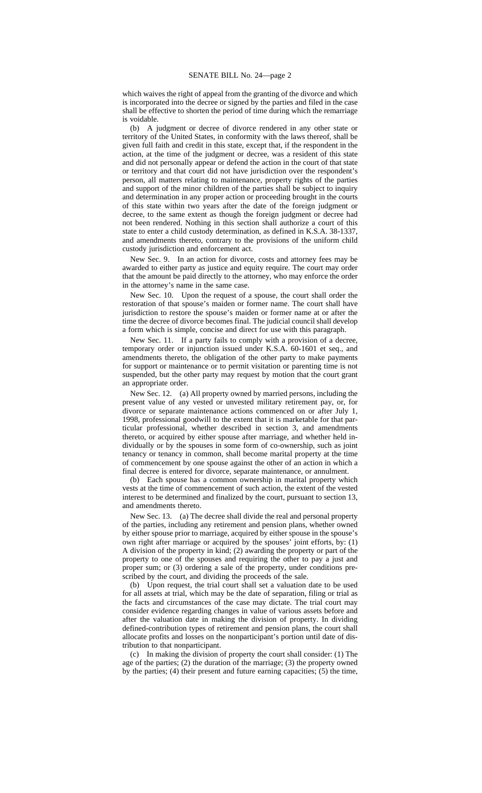which waives the right of appeal from the granting of the divorce and which is incorporated into the decree or signed by the parties and filed in the case shall be effective to shorten the period of time during which the remarriage is voidable.

(b) A judgment or decree of divorce rendered in any other state or territory of the United States, in conformity with the laws thereof, shall be given full faith and credit in this state, except that, if the respondent in the action, at the time of the judgment or decree, was a resident of this state and did not personally appear or defend the action in the court of that state or territory and that court did not have jurisdiction over the respondent's person, all matters relating to maintenance, property rights of the parties and support of the minor children of the parties shall be subject to inquiry and determination in any proper action or proceeding brought in the courts of this state within two years after the date of the foreign judgment or decree, to the same extent as though the foreign judgment or decree had not been rendered. Nothing in this section shall authorize a court of this state to enter a child custody determination, as defined in K.S.A. 38-1337, and amendments thereto, contrary to the provisions of the uniform child custody jurisdiction and enforcement act.

New Sec. 9. In an action for divorce, costs and attorney fees may be awarded to either party as justice and equity require. The court may order that the amount be paid directly to the attorney, who may enforce the order in the attorney's name in the same case.

New Sec. 10. Upon the request of a spouse, the court shall order the restoration of that spouse's maiden or former name. The court shall have jurisdiction to restore the spouse's maiden or former name at or after the time the decree of divorce becomes final. The judicial council shall develop a form which is simple, concise and direct for use with this paragraph.

New Sec. 11. If a party fails to comply with a provision of a decree, temporary order or injunction issued under K.S.A. 60-1601 et seq., and amendments thereto, the obligation of the other party to make payments for support or maintenance or to permit visitation or parenting time is not suspended, but the other party may request by motion that the court grant an appropriate order.

New Sec. 12. (a) All property owned by married persons, including the present value of any vested or unvested military retirement pay, or, for divorce or separate maintenance actions commenced on or after July 1, 1998, professional goodwill to the extent that it is marketable for that particular professional, whether described in section 3, and amendments thereto, or acquired by either spouse after marriage, and whether held individually or by the spouses in some form of co-ownership, such as joint tenancy or tenancy in common, shall become marital property at the time of commencement by one spouse against the other of an action in which a final decree is entered for divorce, separate maintenance, or annulment.

(b) Each spouse has a common ownership in marital property which vests at the time of commencement of such action, the extent of the vested interest to be determined and finalized by the court, pursuant to section 13, and amendments thereto.

New Sec. 13. (a) The decree shall divide the real and personal property of the parties, including any retirement and pension plans, whether owned by either spouse prior to marriage, acquired by either spouse in the spouse's own right after marriage or acquired by the spouses' joint efforts, by: (1) A division of the property in kind; (2) awarding the property or part of the property to one of the spouses and requiring the other to pay a just and proper sum; or (3) ordering a sale of the property, under conditions prescribed by the court, and dividing the proceeds of the sale.

(b) Upon request, the trial court shall set a valuation date to be used for all assets at trial, which may be the date of separation, filing or trial as the facts and circumstances of the case may dictate. The trial court may consider evidence regarding changes in value of various assets before and after the valuation date in making the division of property. In dividing defined-contribution types of retirement and pension plans, the court shall allocate profits and losses on the nonparticipant's portion until date of distribution to that nonparticipant.

(c) In making the division of property the court shall consider: (1) The age of the parties; (2) the duration of the marriage; (3) the property owned by the parties; (4) their present and future earning capacities; (5) the time,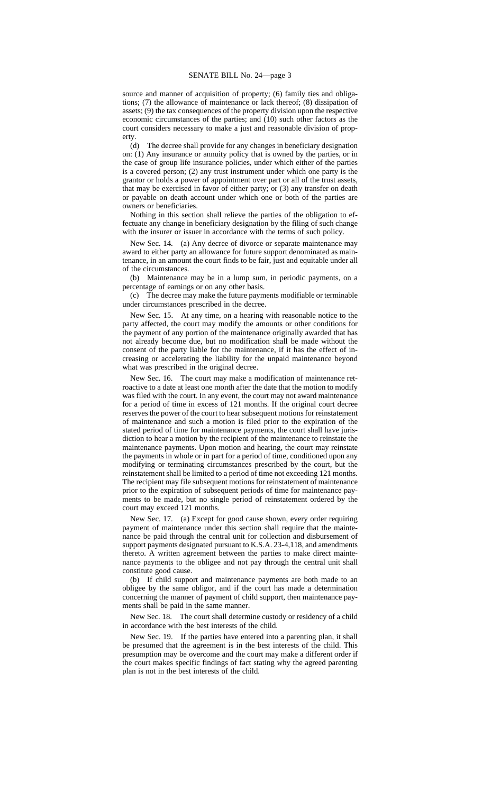source and manner of acquisition of property; (6) family ties and obligations; (7) the allowance of maintenance or lack thereof; (8) dissipation of assets; (9) the tax consequences of the property division upon the respective economic circumstances of the parties; and (10) such other factors as the court considers necessary to make a just and reasonable division of prop-

erty.<br> $(d)$ The decree shall provide for any changes in beneficiary designation on: (1) Any insurance or annuity policy that is owned by the parties, or in the case of group life insurance policies, under which either of the parties is a covered person; (2) any trust instrument under which one party is the grantor or holds a power of appointment over part or all of the trust assets, that may be exercised in favor of either party; or (3) any transfer on death or payable on death account under which one or both of the parties are owners or beneficiaries.

Nothing in this section shall relieve the parties of the obligation to effectuate any change in beneficiary designation by the filing of such change with the insurer or issuer in accordance with the terms of such policy.

New Sec. 14. (a) Any decree of divorce or separate maintenance may award to either party an allowance for future support denominated as maintenance, in an amount the court finds to be fair, just and equitable under all of the circumstances.

(b) Maintenance may be in a lump sum, in periodic payments, on a percentage of earnings or on any other basis.

(c) The decree may make the future payments modifiable or terminable under circumstances prescribed in the decree.

New Sec. 15. At any time, on a hearing with reasonable notice to the party affected, the court may modify the amounts or other conditions for the payment of any portion of the maintenance originally awarded that has not already become due, but no modification shall be made without the consent of the party liable for the maintenance, if it has the effect of increasing or accelerating the liability for the unpaid maintenance beyond what was prescribed in the original decree.

New Sec. 16. The court may make a modification of maintenance retroactive to a date at least one month after the date that the motion to modify was filed with the court. In any event, the court may not award maintenance for a period of time in excess of 121 months. If the original court decree reserves the power of the court to hear subsequent motions for reinstatement of maintenance and such a motion is filed prior to the expiration of the stated period of time for maintenance payments, the court shall have jurisdiction to hear a motion by the recipient of the maintenance to reinstate the maintenance payments. Upon motion and hearing, the court may reinstate the payments in whole or in part for a period of time, conditioned upon any modifying or terminating circumstances prescribed by the court, but the reinstatement shall be limited to a period of time not exceeding 121 months. The recipient may file subsequent motions for reinstatement of maintenance prior to the expiration of subsequent periods of time for maintenance payments to be made, but no single period of reinstatement ordered by the court may exceed 121 months.

New Sec. 17. (a) Except for good cause shown, every order requiring payment of maintenance under this section shall require that the maintenance be paid through the central unit for collection and disbursement of support payments designated pursuant to K.S.A. 23-4,118, and amendments thereto. A written agreement between the parties to make direct maintenance payments to the obligee and not pay through the central unit shall constitute good cause.

(b) If child support and maintenance payments are both made to an obligee by the same obligor, and if the court has made a determination concerning the manner of payment of child support, then maintenance payments shall be paid in the same manner.

New Sec. 18. The court shall determine custody or residency of a child in accordance with the best interests of the child.

New Sec. 19. If the parties have entered into a parenting plan, it shall be presumed that the agreement is in the best interests of the child. This presumption may be overcome and the court may make a different order if the court makes specific findings of fact stating why the agreed parenting plan is not in the best interests of the child.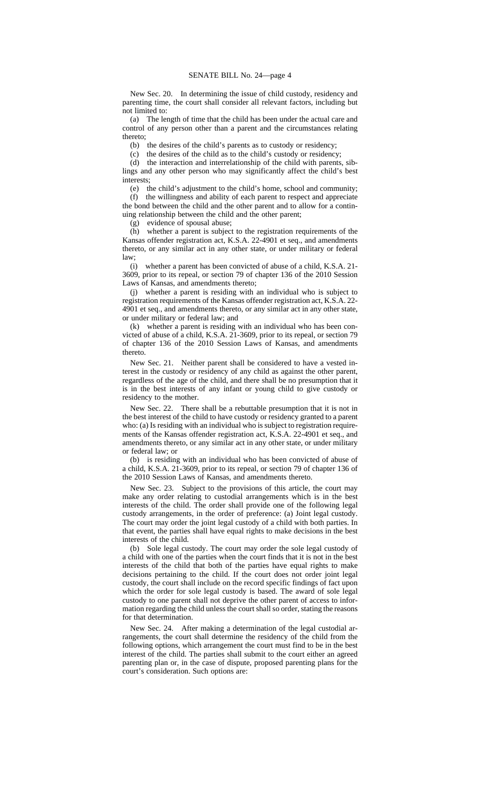New Sec. 20. In determining the issue of child custody, residency and parenting time, the court shall consider all relevant factors, including but not limited to:

(a) The length of time that the child has been under the actual care and control of any person other than a parent and the circumstances relating thereto;

(b) the desires of the child's parents as to custody or residency;

(c) the desires of the child as to the child's custody or residency;

(d) the interaction and interrelationship of the child with parents, siblings and any other person who may significantly affect the child's best interests;

(e) the child's adjustment to the child's home, school and community; (f) the willingness and ability of each parent to respect and appreciate

the bond between the child and the other parent and to allow for a continuing relationship between the child and the other parent;

(g) evidence of spousal abuse;

(h) whether a parent is subject to the registration requirements of the Kansas offender registration act, K.S.A. 22-4901 et seq., and amendments thereto, or any similar act in any other state, or under military or federal law;

(i) whether a parent has been convicted of abuse of a child, K.S.A. 21- 3609, prior to its repeal, or section 79 of chapter 136 of the 2010 Session Laws of Kansas, and amendments thereto;

(j) whether a parent is residing with an individual who is subject to registration requirements of the Kansas offender registration act, K.S.A. 22- 4901 et seq., and amendments thereto, or any similar act in any other state, or under military or federal law; and

(k) whether a parent is residing with an individual who has been convicted of abuse of a child, K.S.A. 21-3609, prior to its repeal, or section 79 of chapter 136 of the 2010 Session Laws of Kansas, and amendments thereto.

New Sec. 21. Neither parent shall be considered to have a vested interest in the custody or residency of any child as against the other parent, regardless of the age of the child, and there shall be no presumption that it is in the best interests of any infant or young child to give custody or residency to the mother.

New Sec. 22. There shall be a rebuttable presumption that it is not in the best interest of the child to have custody or residency granted to a parent who: (a) Is residing with an individual who is subject to registration requirements of the Kansas offender registration act, K.S.A. 22-4901 et seq., and amendments thereto, or any similar act in any other state, or under military or federal law; or

(b) is residing with an individual who has been convicted of abuse of a child, K.S.A. 21-3609, prior to its repeal, or section 79 of chapter 136 of the 2010 Session Laws of Kansas, and amendments thereto.

New Sec. 23. Subject to the provisions of this article, the court may make any order relating to custodial arrangements which is in the best interests of the child. The order shall provide one of the following legal custody arrangements, in the order of preference: (a) Joint legal custody. The court may order the joint legal custody of a child with both parties. In that event, the parties shall have equal rights to make decisions in the best interests of the child.

(b) Sole legal custody. The court may order the sole legal custody of a child with one of the parties when the court finds that it is not in the best interests of the child that both of the parties have equal rights to make decisions pertaining to the child. If the court does not order joint legal custody, the court shall include on the record specific findings of fact upon which the order for sole legal custody is based. The award of sole legal custody to one parent shall not deprive the other parent of access to information regarding the child unless the court shall so order, stating the reasons for that determination.

New Sec. 24. After making a determination of the legal custodial arrangements, the court shall determine the residency of the child from the following options, which arrangement the court must find to be in the best interest of the child. The parties shall submit to the court either an agreed parenting plan or, in the case of dispute, proposed parenting plans for the court's consideration. Such options are: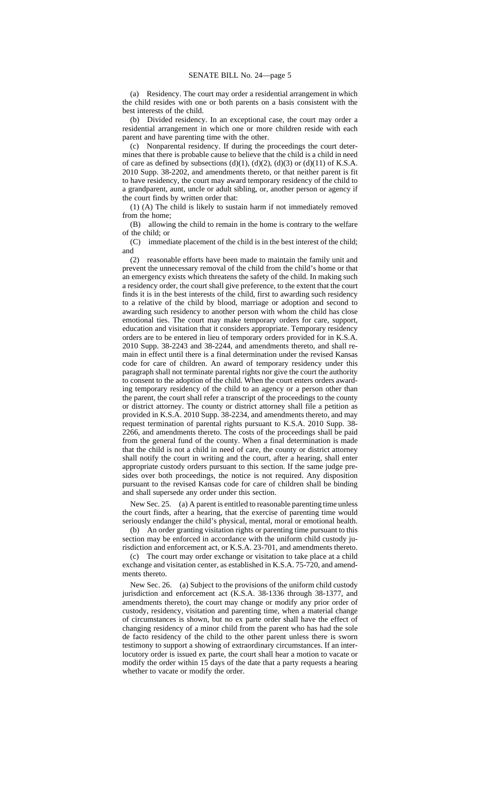(a) Residency. The court may order a residential arrangement in which the child resides with one or both parents on a basis consistent with the best interests of the child.

(b) Divided residency. In an exceptional case, the court may order a residential arrangement in which one or more children reside with each parent and have parenting time with the other.

(c) Nonparental residency. If during the proceedings the court determines that there is probable cause to believe that the child is a child in need of care as defined by subsections (d)(1), (d)(2), (d)(3) or (d)(11) of K.S.A. 2010 Supp. 38-2202, and amendments thereto, or that neither parent is fit to have residency, the court may award temporary residency of the child to a grandparent, aunt, uncle or adult sibling, or, another person or agency if the court finds by written order that:

(1) (A) The child is likely to sustain harm if not immediately removed from the home;

(B) allowing the child to remain in the home is contrary to the welfare of the child; or

(C) immediate placement of the child is in the best interest of the child; and

(2) reasonable efforts have been made to maintain the family unit and prevent the unnecessary removal of the child from the child's home or that an emergency exists which threatens the safety of the child. In making such a residency order, the court shall give preference, to the extent that the court finds it is in the best interests of the child, first to awarding such residency to a relative of the child by blood, marriage or adoption and second to awarding such residency to another person with whom the child has close emotional ties. The court may make temporary orders for care, support, education and visitation that it considers appropriate. Temporary residency orders are to be entered in lieu of temporary orders provided for in K.S.A. 2010 Supp. 38-2243 and 38-2244, and amendments thereto, and shall remain in effect until there is a final determination under the revised Kansas code for care of children. An award of temporary residency under this paragraph shall not terminate parental rights nor give the court the authority to consent to the adoption of the child. When the court enters orders awarding temporary residency of the child to an agency or a person other than the parent, the court shall refer a transcript of the proceedings to the county or district attorney. The county or district attorney shall file a petition as provided in K.S.A. 2010 Supp. 38-2234, and amendments thereto, and may request termination of parental rights pursuant to K.S.A. 2010 Supp. 38- 2266, and amendments thereto. The costs of the proceedings shall be paid from the general fund of the county. When a final determination is made that the child is not a child in need of care, the county or district attorney shall notify the court in writing and the court, after a hearing, shall enter appropriate custody orders pursuant to this section. If the same judge presides over both proceedings, the notice is not required. Any disposition pursuant to the revised Kansas code for care of children shall be binding and shall supersede any order under this section.

New Sec. 25. (a) A parent is entitled to reasonable parenting time unless the court finds, after a hearing, that the exercise of parenting time would seriously endanger the child's physical, mental, moral or emotional health.

(b) An order granting visitation rights or parenting time pursuant to this section may be enforced in accordance with the uniform child custody jurisdiction and enforcement act, or K.S.A. 23-701, and amendments thereto.

(c) The court may order exchange or visitation to take place at a child exchange and visitation center, as established in K.S.A. 75-720, and amendments thereto.

New Sec. 26. (a) Subject to the provisions of the uniform child custody jurisdiction and enforcement act (K.S.A. 38-1336 through 38-1377, and amendments thereto), the court may change or modify any prior order of custody, residency, visitation and parenting time, when a material change of circumstances is shown, but no ex parte order shall have the effect of changing residency of a minor child from the parent who has had the sole de facto residency of the child to the other parent unless there is sworn testimony to support a showing of extraordinary circumstances. If an interlocutory order is issued ex parte, the court shall hear a motion to vacate or modify the order within 15 days of the date that a party requests a hearing whether to vacate or modify the order.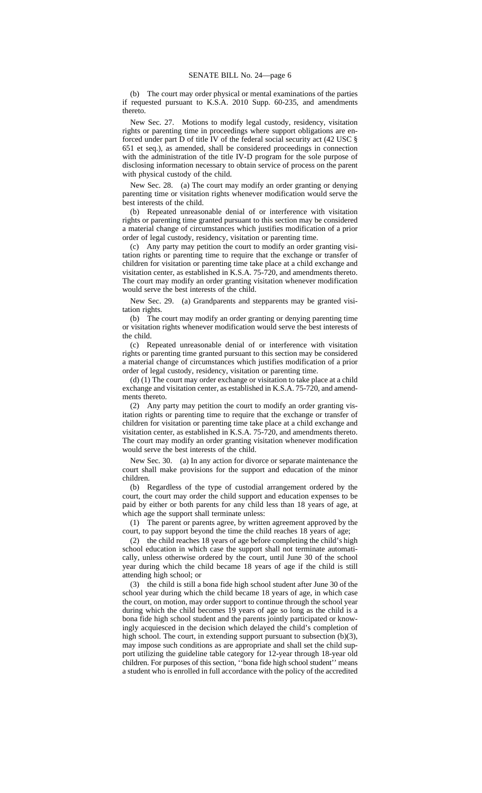(b) The court may order physical or mental examinations of the parties if requested pursuant to K.S.A. 2010 Supp. 60-235, and amendments thereto.

New Sec. 27. Motions to modify legal custody, residency, visitation rights or parenting time in proceedings where support obligations are enforced under part D of title IV of the federal social security act (42 USC § 651 et seq.), as amended, shall be considered proceedings in connection with the administration of the title IV-D program for the sole purpose of disclosing information necessary to obtain service of process on the parent with physical custody of the child.

New Sec. 28. (a) The court may modify an order granting or denying parenting time or visitation rights whenever modification would serve the best interests of the child.

(b) Repeated unreasonable denial of or interference with visitation rights or parenting time granted pursuant to this section may be considered a material change of circumstances which justifies modification of a prior order of legal custody, residency, visitation or parenting time.

(c) Any party may petition the court to modify an order granting visitation rights or parenting time to require that the exchange or transfer of children for visitation or parenting time take place at a child exchange and visitation center, as established in K.S.A. 75-720, and amendments thereto. The court may modify an order granting visitation whenever modification would serve the best interests of the child.

New Sec. 29. (a) Grandparents and stepparents may be granted visitation rights.

(b) The court may modify an order granting or denying parenting time or visitation rights whenever modification would serve the best interests of the child.

(c) Repeated unreasonable denial of or interference with visitation rights or parenting time granted pursuant to this section may be considered a material change of circumstances which justifies modification of a prior order of legal custody, residency, visitation or parenting time.

(d) (1) The court may order exchange or visitation to take place at a child exchange and visitation center, as established in K.S.A. 75-720, and amendments thereto.

(2) Any party may petition the court to modify an order granting visitation rights or parenting time to require that the exchange or transfer of children for visitation or parenting time take place at a child exchange and visitation center, as established in K.S.A. 75-720, and amendments thereto. The court may modify an order granting visitation whenever modification would serve the best interests of the child.

New Sec. 30. (a) In any action for divorce or separate maintenance the court shall make provisions for the support and education of the minor children.

(b) Regardless of the type of custodial arrangement ordered by the court, the court may order the child support and education expenses to be paid by either or both parents for any child less than 18 years of age, at which age the support shall terminate unless:

(1) The parent or parents agree, by written agreement approved by the court, to pay support beyond the time the child reaches 18 years of age;

(2) the child reaches 18 years of age before completing the child's high school education in which case the support shall not terminate automatically, unless otherwise ordered by the court, until June 30 of the school year during which the child became 18 years of age if the child is still attending high school; or

(3) the child is still a bona fide high school student after June 30 of the school year during which the child became 18 years of age, in which case the court, on motion, may order support to continue through the school year during which the child becomes 19 years of age so long as the child is a bona fide high school student and the parents jointly participated or knowingly acquiesced in the decision which delayed the child's completion of high school. The court, in extending support pursuant to subsection (b)(3), may impose such conditions as are appropriate and shall set the child support utilizing the guideline table category for 12-year through 18-year old children. For purposes of this section, ''bona fide high school student'' means a student who is enrolled in full accordance with the policy of the accredited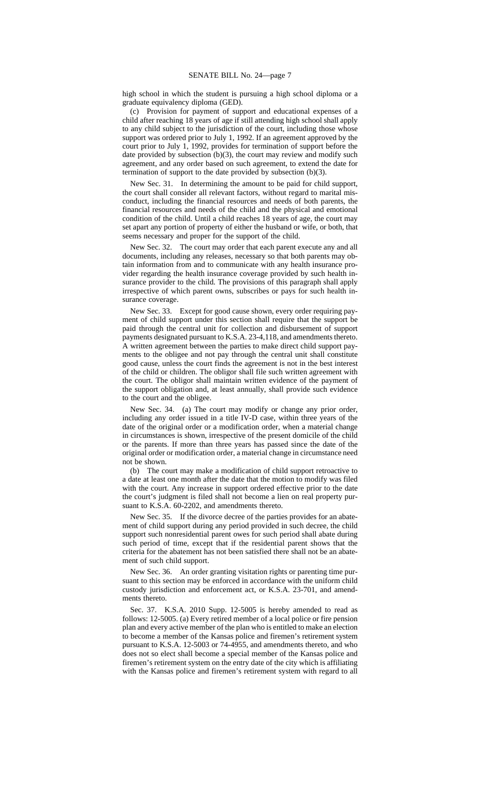high school in which the student is pursuing a high school diploma or a graduate equivalency diploma (GED).

(c) Provision for payment of support and educational expenses of a child after reaching 18 years of age if still attending high school shall apply to any child subject to the jurisdiction of the court, including those whose support was ordered prior to July 1, 1992. If an agreement approved by the court prior to July 1, 1992, provides for termination of support before the date provided by subsection (b)(3), the court may review and modify such agreement, and any order based on such agreement, to extend the date for termination of support to the date provided by subsection (b)(3).

New Sec. 31. In determining the amount to be paid for child support, the court shall consider all relevant factors, without regard to marital misconduct, including the financial resources and needs of both parents, the financial resources and needs of the child and the physical and emotional condition of the child. Until a child reaches 18 years of age, the court may set apart any portion of property of either the husband or wife, or both, that seems necessary and proper for the support of the child.

New Sec. 32. The court may order that each parent execute any and all documents, including any releases, necessary so that both parents may obtain information from and to communicate with any health insurance provider regarding the health insurance coverage provided by such health insurance provider to the child. The provisions of this paragraph shall apply irrespective of which parent owns, subscribes or pays for such health insurance coverage.

New Sec. 33. Except for good cause shown, every order requiring payment of child support under this section shall require that the support be paid through the central unit for collection and disbursement of support payments designated pursuant to K.S.A. 23-4,118, and amendments thereto. A written agreement between the parties to make direct child support payments to the obligee and not pay through the central unit shall constitute good cause, unless the court finds the agreement is not in the best interest of the child or children. The obligor shall file such written agreement with the court. The obligor shall maintain written evidence of the payment of the support obligation and, at least annually, shall provide such evidence to the court and the obligee.

New Sec. 34. (a) The court may modify or change any prior order, including any order issued in a title IV-D case, within three years of the date of the original order or a modification order, when a material change in circumstances is shown, irrespective of the present domicile of the child or the parents. If more than three years has passed since the date of the original order or modification order, a material change in circumstance need not be shown.

(b) The court may make a modification of child support retroactive to a date at least one month after the date that the motion to modify was filed with the court. Any increase in support ordered effective prior to the date the court's judgment is filed shall not become a lien on real property pursuant to K.S.A. 60-2202, and amendments thereto.

New Sec. 35. If the divorce decree of the parties provides for an abatement of child support during any period provided in such decree, the child support such nonresidential parent owes for such period shall abate during such period of time, except that if the residential parent shows that the criteria for the abatement has not been satisfied there shall not be an abatement of such child support.

New Sec. 36. An order granting visitation rights or parenting time pursuant to this section may be enforced in accordance with the uniform child custody jurisdiction and enforcement act, or K.S.A. 23-701, and amendments thereto.

Sec. 37. K.S.A. 2010 Supp. 12-5005 is hereby amended to read as follows: 12-5005. (a) Every retired member of a local police or fire pension plan and every active member of the plan who is entitled to make an election to become a member of the Kansas police and firemen's retirement system pursuant to K.S.A. 12-5003 or 74-4955*,* and amendments thereto*,* and who does not so elect shall become a special member of the Kansas police and firemen's retirement system on the entry date of the city which is affiliating with the Kansas police and firemen's retirement system with regard to all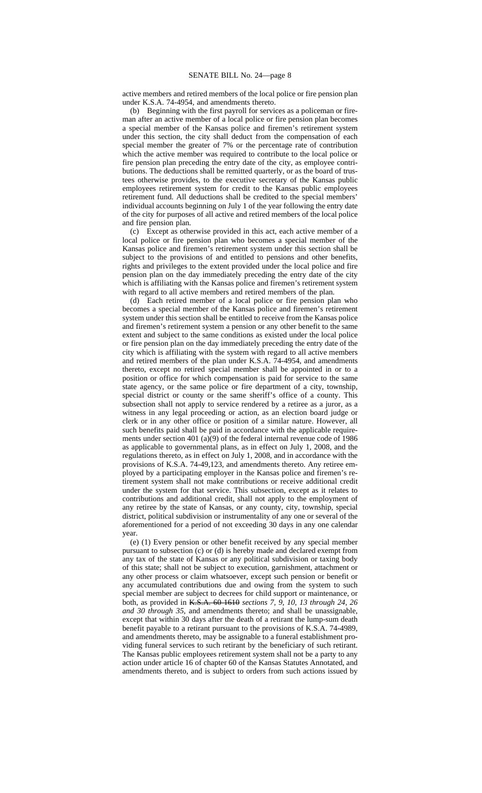active members and retired members of the local police or fire pension plan under K.S.A. 74-4954*,* and amendments thereto.

(b) Beginning with the first payroll for services as a policeman or fireman after an active member of a local police or fire pension plan becomes a special member of the Kansas police and firemen's retirement system under this section, the city shall deduct from the compensation of each special member the greater of 7% or the percentage rate of contribution which the active member was required to contribute to the local police or fire pension plan preceding the entry date of the city, as employee contributions. The deductions shall be remitted quarterly, or as the board of trustees otherwise provides, to the executive secretary of the Kansas public employees retirement system for credit to the Kansas public employees retirement fund. All deductions shall be credited to the special members' individual accounts beginning on July 1 of the year following the entry date of the city for purposes of all active and retired members of the local police and fire pension plan.

(c) Except as otherwise provided in this act, each active member of a local police or fire pension plan who becomes a special member of the Kansas police and firemen's retirement system under this section shall be subject to the provisions of and entitled to pensions and other benefits, rights and privileges to the extent provided under the local police and fire pension plan on the day immediately preceding the entry date of the city which is affiliating with the Kansas police and firemen's retirement system with regard to all active members and retired members of the plan.

(d) Each retired member of a local police or fire pension plan who becomes a special member of the Kansas police and firemen's retirement system under this section shall be entitled to receive from the Kansas police and firemen's retirement system a pension or any other benefit to the same extent and subject to the same conditions as existed under the local police or fire pension plan on the day immediately preceding the entry date of the city which is affiliating with the system with regard to all active members and retired members of the plan under K.S.A. 74-4954*,* and amendments thereto, except no retired special member shall be appointed in or to a position or office for which compensation is paid for service to the same state agency, or the same police or fire department of a city, township, special district or county or the same sheriff's office of a county. This subsection shall not apply to service rendered by a retiree as a juror, as a witness in any legal proceeding or action, as an election board judge or clerk or in any other office or position of a similar nature. However, all such benefits paid shall be paid in accordance with the applicable requirements under section 401 (a) $(9)$  of the federal internal revenue code of 1986 as applicable to governmental plans, as in effect on July 1, 2008, and the regulations thereto, as in effect on July 1, 2008, and in accordance with the provisions of K.S.A. 74-49,123, and amendments thereto. Any retiree employed by a participating employer in the Kansas police and firemen's retirement system shall not make contributions or receive additional credit under the system for that service. This subsection, except as it relates to contributions and additional credit, shall not apply to the employment of any retiree by the state of Kansas, or any county, city, township, special district, political subdivision or instrumentality of any one or several of the aforementioned for a period of not exceeding 30 days in any one calendar year.

(e) (1) Every pension or other benefit received by any special member pursuant to subsection (c) or (d) is hereby made and declared exempt from any tax of the state of Kansas or any political subdivision or taxing body of this state; shall not be subject to execution, garnishment, attachment or any other process or claim whatsoever, except such pension or benefit or any accumulated contributions due and owing from the system to such special member are subject to decrees for child support or maintenance, or both, as provided in K.S.A. 60-1610 *sections 7, 9, 10, 13 through 24, 26 and 30 through 35,* and amendments thereto; and shall be unassignable, except that within 30 days after the death of a retirant the lump-sum death benefit payable to a retirant pursuant to the provisions of K.S.A. 74-4989*,* and amendments thereto*,* may be assignable to a funeral establishment providing funeral services to such retirant by the beneficiary of such retirant. The Kansas public employees retirement system shall not be a party to any action under article 16 of chapter 60 of the Kansas Statutes Annotated, and amendments thereto, and is subject to orders from such actions issued by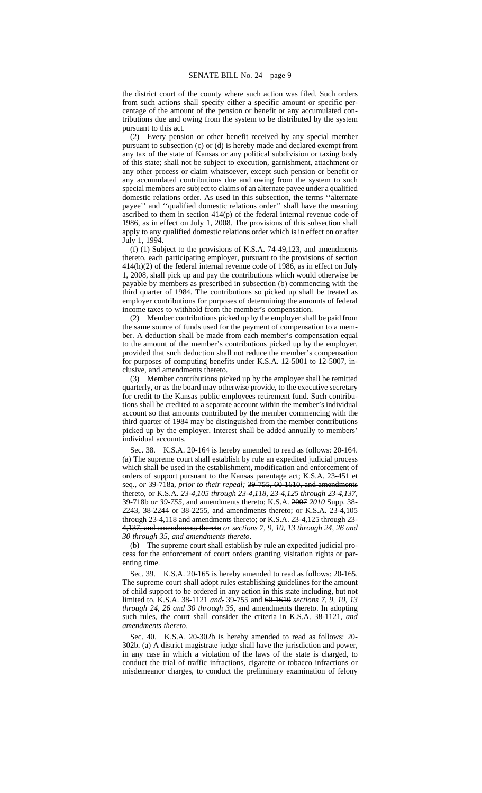the district court of the county where such action was filed. Such orders from such actions shall specify either a specific amount or specific percentage of the amount of the pension or benefit or any accumulated contributions due and owing from the system to be distributed by the system pursuant to this act.

(2) Every pension or other benefit received by any special member pursuant to subsection (c) or (d) is hereby made and declared exempt from any tax of the state of Kansas or any political subdivision or taxing body of this state; shall not be subject to execution, garnishment, attachment or any other process or claim whatsoever, except such pension or benefit or any accumulated contributions due and owing from the system to such special members are subject to claims of an alternate payee under a qualified domestic relations order. As used in this subsection, the terms ''alternate payee'' and ''qualified domestic relations order'' shall have the meaning ascribed to them in section  $414(p)$  of the federal internal revenue code of 1986, as in effect on July 1, 2008. The provisions of this subsection shall apply to any qualified domestic relations order which is in effect on or after July 1, 1994.

(f) (1) Subject to the provisions of K.S.A. 74-49,123*,* and amendments thereto, each participating employer, pursuant to the provisions of section 414(h)(2) of the federal internal revenue code of 1986, as in effect on July 1, 2008, shall pick up and pay the contributions which would otherwise be payable by members as prescribed in subsection (b) commencing with the third quarter of 1984. The contributions so picked up shall be treated as employer contributions for purposes of determining the amounts of federal income taxes to withhold from the member's compensation.

(2) Member contributions picked up by the employer shall be paid from the same source of funds used for the payment of compensation to a member. A deduction shall be made from each member's compensation equal to the amount of the member's contributions picked up by the employer, provided that such deduction shall not reduce the member's compensation for purposes of computing benefits under K.S.A. 12-5001 to 12-5007, inclusive, and amendments thereto.

(3) Member contributions picked up by the employer shall be remitted quarterly, or as the board may otherwise provide, to the executive secretary for credit to the Kansas public employees retirement fund. Such contributions shall be credited to a separate account within the member's individual account so that amounts contributed by the member commencing with the third quarter of 1984 may be distinguished from the member contributions picked up by the employer. Interest shall be added annually to members' individual accounts.

Sec. 38. K.S.A. 20-164 is hereby amended to read as follows: 20-164. (a) The supreme court shall establish by rule an expedited judicial process which shall be used in the establishment, modification and enforcement of orders of support pursuant to the Kansas parentage act; K.S.A. 23-451 et seq., *or* 39-718a, *prior to their repeal;* 39-755, 60-1610, and amendments thereto, or K.S.A. *23-4,105 through 23-4,118, 23-4,125 through 23-4,137,* 39-718b *or 39-755*, and amendments thereto; K.S.A. 2007 *2010* Supp. 38- 2243, 38-2244 or 38-2255, and amendments thereto; or K.S.A. 23-4,105 through 23-4,118 and amendments thereto; or K.S.A. 23-4,125 through 23- 4,137, and amendments thereto *or sections 7, 9, 10, 13 through 24, 26 and 30 through 35, and amendments thereto*.

(b) The supreme court shall establish by rule an expedited judicial process for the enforcement of court orders granting visitation rights or parenting time.

Sec. 39. K.S.A. 20-165 is hereby amended to read as follows: 20-165. The supreme court shall adopt rules establishing guidelines for the amount of child support to be ordered in any action in this state including, but not limited to, K.S.A. 38-1121 *and*, 39-755 and 60-1610 *sections 7, 9, 10, 13 through 24, 26 and 30 through 35*, and amendments thereto. In adopting such rules, the court shall consider the criteria in K.S.A. 38-1121*, and amendments thereto*.

Sec. 40. K.S.A. 20-302b is hereby amended to read as follows: 20- 302b. (a) A district magistrate judge shall have the jurisdiction and power, in any case in which a violation of the laws of the state is charged, to conduct the trial of traffic infractions, cigarette or tobacco infractions or misdemeanor charges, to conduct the preliminary examination of felony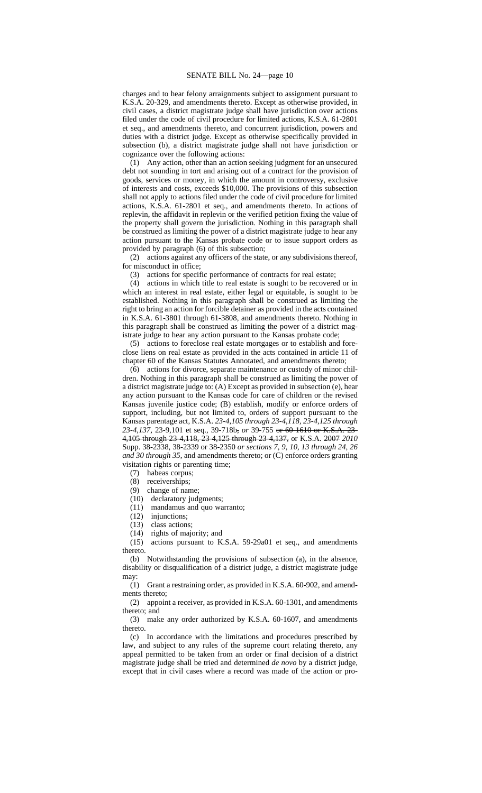charges and to hear felony arraignments subject to assignment pursuant to K.S.A. 20-329*,* and amendments thereto. Except as otherwise provided, in civil cases, a district magistrate judge shall have jurisdiction over actions filed under the code of civil procedure for limited actions, K.S.A. 61-2801 et seq., and amendments thereto, and concurrent jurisdiction, powers and duties with a district judge. Except as otherwise specifically provided in subsection (b), a district magistrate judge shall not have jurisdiction or cognizance over the following actions:

(1) Any action, other than an action seeking judgment for an unsecured debt not sounding in tort and arising out of a contract for the provision of goods, services or money, in which the amount in controversy, exclusive of interests and costs, exceeds \$10,000. The provisions of this subsection shall not apply to actions filed under the code of civil procedure for limited actions, K.S.A. 61-2801 et seq.*,* and amendments thereto. In actions of replevin, the affidavit in replevin or the verified petition fixing the value of the property shall govern the jurisdiction. Nothing in this paragraph shall be construed as limiting the power of a district magistrate judge to hear any action pursuant to the Kansas probate code or to issue support orders as provided by paragraph (6) of this subsection;

(2) actions against any officers of the state, or any subdivisions thereof, for misconduct in office;

(3) actions for specific performance of contracts for real estate;

(4) actions in which title to real estate is sought to be recovered or in which an interest in real estate, either legal or equitable, is sought to be established. Nothing in this paragraph shall be construed as limiting the right to bring an action for forcible detainer as provided in the acts contained in K.S.A. 61-3801 through 61-3808, and amendments thereto. Nothing in this paragraph shall be construed as limiting the power of a district magistrate judge to hear any action pursuant to the Kansas probate code;

(5) actions to foreclose real estate mortgages or to establish and foreclose liens on real estate as provided in the acts contained in article 11 of chapter 60 of the Kansas Statutes Annotated, and amendments thereto;

(6) actions for divorce, separate maintenance or custody of minor children. Nothing in this paragraph shall be construed as limiting the power of a district magistrate judge to: (A) Except as provided in subsection (e), hear any action pursuant to the Kansas code for care of children or the revised Kansas juvenile justice code; (B) establish, modify or enforce orders of support, including, but not limited to, orders of support pursuant to the Kansas parentage act, K.S.A. *23-4,105 through 23-4,118, 23-4,125 through 23-4,137,* 23-9,101 et seq., 39-718b, *or* 39-755 or 60-1610 or K.S.A. 23- 4,105 through 23-4,118, 23-4,125 through 23-4,137, or K.S.A. 2007 *2010* Supp. 38-2338, 38-2339 or 38-2350 *or sections 7, 9, 10, 13 through 24, 26 and 30 through 35*, and amendments thereto; or (C) enforce orders granting visitation rights or parenting time;

(7) habeas corpus;

(8) receiverships;

(9) change of name;

(10) declaratory judgments;

(11) mandamus and quo warranto;

(12) injunctions;

(13) class actions;

(14) rights of majority; and

(15) actions pursuant to K.S.A. 59-29a01 et seq.*,* and amendments thereto.

(b) Notwithstanding the provisions of subsection (a), in the absence, disability or disqualification of a district judge, a district magistrate judge may:

(1) Grant a restraining order, as provided in K.S.A. 60-902*,* and amendments thereto;

(2) appoint a receiver, as provided in K.S.A. 60-1301*,* and amendments thereto; and

(3) make any order authorized by K.S.A. 60-1607*,* and amendments thereto.

(c) In accordance with the limitations and procedures prescribed by law, and subject to any rules of the supreme court relating thereto, any appeal permitted to be taken from an order or final decision of a district magistrate judge shall be tried and determined *de novo* by a district judge, except that in civil cases where a record was made of the action or pro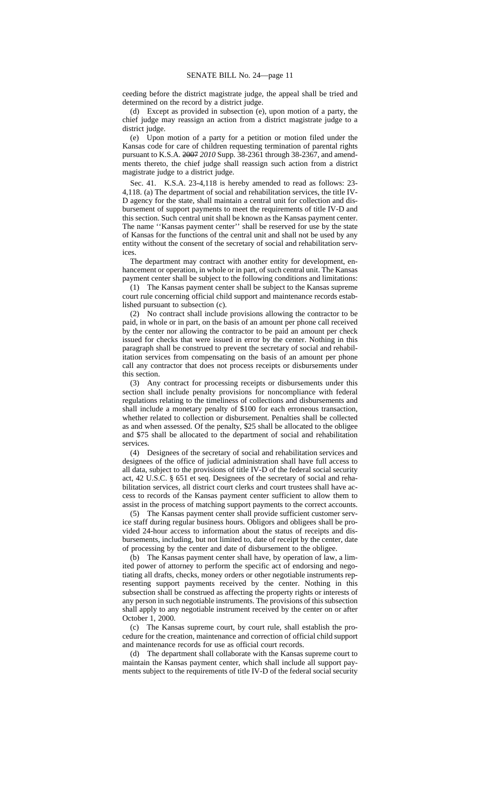ceeding before the district magistrate judge, the appeal shall be tried and determined on the record by a district judge.

(d) Except as provided in subsection (e), upon motion of a party, the chief judge may reassign an action from a district magistrate judge to a district judge.

(e) Upon motion of a party for a petition or motion filed under the Kansas code for care of children requesting termination of parental rights pursuant to K.S.A. 2007 *2010* Supp. 38-2361 through 38-2367, and amendments thereto, the chief judge shall reassign such action from a district magistrate judge to a district judge.

Sec. 41. K.S.A. 23-4,118 is hereby amended to read as follows: 23- 4,118. (a) The department of social and rehabilitation services, the title IV-D agency for the state, shall maintain a central unit for collection and disbursement of support payments to meet the requirements of title IV-D and this section. Such central unit shall be known as the Kansas payment center. The name ''Kansas payment center'' shall be reserved for use by the state of Kansas for the functions of the central unit and shall not be used by any entity without the consent of the secretary of social and rehabilitation services.

The department may contract with another entity for development, enhancement or operation, in whole or in part, of such central unit. The Kansas payment center shall be subject to the following conditions and limitations:

(1) The Kansas payment center shall be subject to the Kansas supreme court rule concerning official child support and maintenance records established pursuant to subsection (c).

(2) No contract shall include provisions allowing the contractor to be paid, in whole or in part, on the basis of an amount per phone call received by the center nor allowing the contractor to be paid an amount per check issued for checks that were issued in error by the center. Nothing in this paragraph shall be construed to prevent the secretary of social and rehabilitation services from compensating on the basis of an amount per phone call any contractor that does not process receipts or disbursements under this section.

(3) Any contract for processing receipts or disbursements under this section shall include penalty provisions for noncompliance with federal regulations relating to the timeliness of collections and disbursements and shall include a monetary penalty of \$100 for each erroneous transaction, whether related to collection or disbursement. Penalties shall be collected as and when assessed. Of the penalty, \$25 shall be allocated to the obligee and \$75 shall be allocated to the department of social and rehabilitation services.

(4) Designees of the secretary of social and rehabilitation services and designees of the office of judicial administration shall have full access to all data, subject to the provisions of title IV-D of the federal social security act, 42 U.S.C. § 651 et seq. Designees of the secretary of social and rehabilitation services, all district court clerks and court trustees shall have access to records of the Kansas payment center sufficient to allow them to assist in the process of matching support payments to the correct accounts.

(5) The Kansas payment center shall provide sufficient customer service staff during regular business hours. Obligors and obligees shall be provided 24-hour access to information about the status of receipts and disbursements, including, but not limited to, date of receipt by the center, date of processing by the center and date of disbursement to the obligee.

(b) The Kansas payment center shall have, by operation of law, a limited power of attorney to perform the specific act of endorsing and negotiating all drafts, checks, money orders or other negotiable instruments representing support payments received by the center. Nothing in this subsection shall be construed as affecting the property rights or interests of any person in such negotiable instruments. The provisions of this subsection shall apply to any negotiable instrument received by the center on or after October 1, 2000.

(c) The Kansas supreme court, by court rule, shall establish the procedure for the creation, maintenance and correction of official child support and maintenance records for use as official court records.

(d) The department shall collaborate with the Kansas supreme court to maintain the Kansas payment center, which shall include all support payments subject to the requirements of title IV-D of the federal social security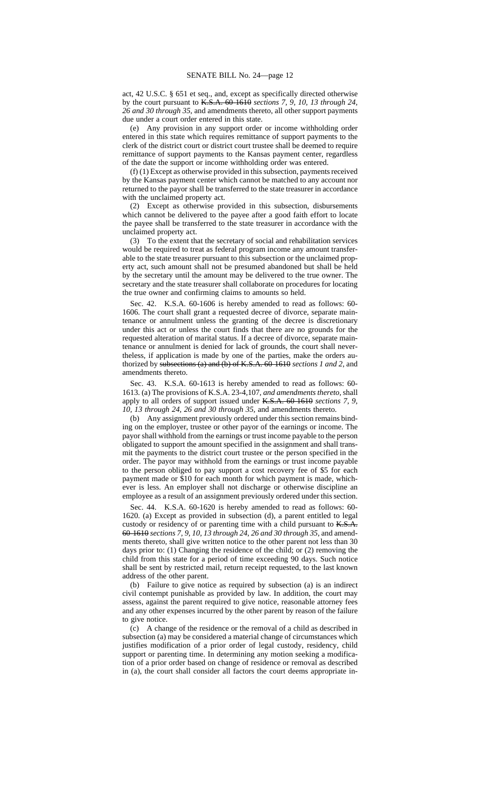act, 42 U.S.C. § 651 et seq., and, except as specifically directed otherwise by the court pursuant to K.S.A. 60-1610 *sections 7, 9, 10, 13 through 24, 26 and 30 through 35*, and amendments thereto, all other support payments due under a court order entered in this state.

(e) Any provision in any support order or income withholding order entered in this state which requires remittance of support payments to the clerk of the district court or district court trustee shall be deemed to require remittance of support payments to the Kansas payment center, regardless of the date the support or income withholding order was entered.

(f) (1) Except as otherwise provided in this subsection, payments received by the Kansas payment center which cannot be matched to any account nor returned to the payor shall be transferred to the state treasurer in accordance with the unclaimed property act.

(2) Except as otherwise provided in this subsection, disbursements which cannot be delivered to the payee after a good faith effort to locate the payee shall be transferred to the state treasurer in accordance with the unclaimed property act.

(3) To the extent that the secretary of social and rehabilitation services would be required to treat as federal program income any amount transferable to the state treasurer pursuant to this subsection or the unclaimed property act, such amount shall not be presumed abandoned but shall be held by the secretary until the amount may be delivered to the true owner. The secretary and the state treasurer shall collaborate on procedures for locating the true owner and confirming claims to amounts so held.

Sec. 42. K.S.A. 60-1606 is hereby amended to read as follows: 60- 1606. The court shall grant a requested decree of divorce, separate maintenance or annulment unless the granting of the decree is discretionary under this act or unless the court finds that there are no grounds for the requested alteration of marital status. If a decree of divorce, separate maintenance or annulment is denied for lack of grounds, the court shall nevertheless, if application is made by one of the parties, make the orders authorized by subsections (a) and (b) of K.S.A. 60-1610 *sections 1 and 2,* and amendments thereto.

Sec. 43. K.S.A. 60-1613 is hereby amended to read as follows: 60- 1613. (a) The provisions of K.S.A. 23-4,107*, and amendments thereto,* shall apply to all orders of support issued under K.S.A. 60-1610 *sections 7, 9, 10, 13 through 24, 26 and 30 through 35,* and amendments thereto.

(b) Any assignment previously ordered under this section remains binding on the employer, trustee or other payor of the earnings or income. The payor shall withhold from the earnings or trust income payable to the person obligated to support the amount specified in the assignment and shall transmit the payments to the district court trustee or the person specified in the order. The payor may withhold from the earnings or trust income payable to the person obliged to pay support a cost recovery fee of \$5 for each payment made or \$10 for each month for which payment is made, whichever is less. An employer shall not discharge or otherwise discipline an employee as a result of an assignment previously ordered under this section.

Sec. 44. K.S.A. 60-1620 is hereby amended to read as follows: 60- 1620. (a) Except as provided in subsection (d), a parent entitled to legal custody or residency of or parenting time with a child pursuant to K.S.A. 60-1610 *sections 7, 9, 10, 13 through 24, 26 and 30 through 35,* and amendments thereto*,* shall give written notice to the other parent not less than 30 days prior to: (1) Changing the residence of the child; or (2) removing the child from this state for a period of time exceeding 90 days. Such notice shall be sent by restricted mail, return receipt requested, to the last known address of the other parent.

(b) Failure to give notice as required by subsection (a) is an indirect civil contempt punishable as provided by law. In addition, the court may assess, against the parent required to give notice, reasonable attorney fees and any other expenses incurred by the other parent by reason of the failure to give notice.

(c) A change of the residence or the removal of a child as described in subsection (a) may be considered a material change of circumstances which justifies modification of a prior order of legal custody, residency, child support or parenting time. In determining any motion seeking a modification of a prior order based on change of residence or removal as described in (a), the court shall consider all factors the court deems appropriate in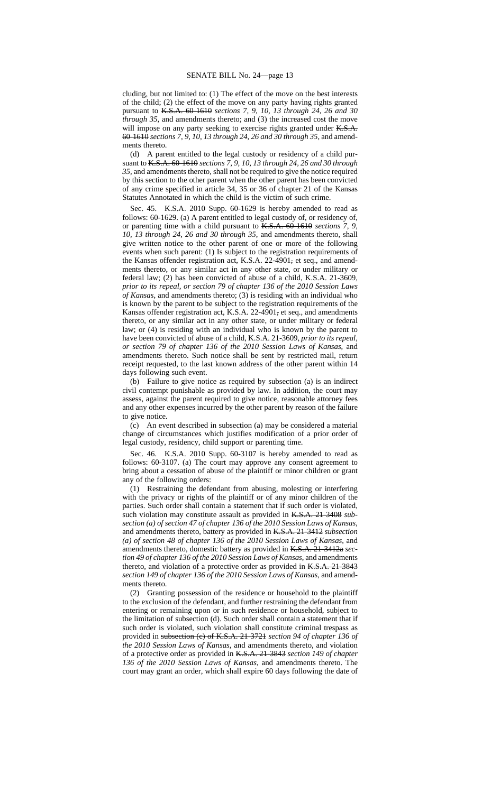cluding, but not limited to: (1) The effect of the move on the best interests of the child; (2) the effect of the move on any party having rights granted pursuant to K.S.A. 60-1610 *sections 7, 9, 10, 13 through 24, 26 and 30 through 35*, and amendments thereto; and (3) the increased cost the move will impose on any party seeking to exercise rights granted under K.S.A. 60-1610 *sections 7, 9, 10, 13 through 24, 26 and 30 through 35*, and amendments thereto.

(d) A parent entitled to the legal custody or residency of a child pursuant to K.S.A. 60-1610 *sections 7, 9, 10, 13 through 24, 26 and 30 through 35,* and amendments thereto*,* shall not be required to give the notice required by this section to the other parent when the other parent has been convicted of any crime specified in article 34, 35 or 36 of chapter 21 of the Kansas Statutes Annotated in which the child is the victim of such crime.

Sec. 45. K.S.A. 2010 Supp. 60-1629 is hereby amended to read as follows: 60-1629. (a) A parent entitled to legal custody of, or residency of, or parenting time with a child pursuant to K.S.A. 60-1610 *sections 7, 9, 10, 13 through 24, 26 and 30 through 35*, and amendments thereto, shall give written notice to the other parent of one or more of the following events when such parent: (1) Is subject to the registration requirements of the Kansas offender registration act, K.S.A. 22-4901, et seq., and amendments thereto, or any similar act in any other state, or under military or federal law; (2) has been convicted of abuse of a child, K.S.A. 21-3609*, prior to its repeal, or section 79 of chapter 136 of the 2010 Session Laws of Kansas*, and amendments thereto; (3) is residing with an individual who is known by the parent to be subject to the registration requirements of the Kansas offender registration act, K.S.A. 22-4901, et seq., and amendments thereto, or any similar act in any other state, or under military or federal law; or (4) is residing with an individual who is known by the parent to have been convicted of abuse of a child, K.S.A. 21-3609*, prior to its repeal, or section 79 of chapter 136 of the 2010 Session Laws of Kansas*, and amendments thereto. Such notice shall be sent by restricted mail, return receipt requested, to the last known address of the other parent within 14 days following such event.

(b) Failure to give notice as required by subsection (a) is an indirect civil contempt punishable as provided by law. In addition, the court may assess, against the parent required to give notice, reasonable attorney fees and any other expenses incurred by the other parent by reason of the failure to give notice.

(c) An event described in subsection (a) may be considered a material change of circumstances which justifies modification of a prior order of legal custody, residency, child support or parenting time.

Sec. 46. K.S.A. 2010 Supp. 60-3107 is hereby amended to read as follows: 60-3107. (a) The court may approve any consent agreement to bring about a cessation of abuse of the plaintiff or minor children or grant any of the following orders:

(1) Restraining the defendant from abusing, molesting or interfering with the privacy or rights of the plaintiff or of any minor children of the parties. Such order shall contain a statement that if such order is violated, such violation may constitute assault as provided in K.S.A. 21-3408 *subsection (a) of section 47 of chapter 136 of the 2010 Session Laws of Kansas*, and amendments thereto, battery as provided in K.S.A. 21-3412 *subsection (a) of section 48 of chapter 136 of the 2010 Session Laws of Kansas*, and amendments thereto, domestic battery as provided in K.S.A. 21-3412a *section 49 of chapter 136 of the 2010 Session Laws of Kansas*, and amendments thereto*,* and violation of a protective order as provided in K.S.A. 21-3843 *section 149 of chapter 136 of the 2010 Session Laws of Kansas*, and amendments thereto.

(2) Granting possession of the residence or household to the plaintiff to the exclusion of the defendant, and further restraining the defendant from entering or remaining upon or in such residence or household, subject to the limitation of subsection (d). Such order shall contain a statement that if such order is violated, such violation shall constitute criminal trespass as provided in subsection (c) of K.S.A. 21-3721 *section 94 of chapter 136 of the 2010 Session Laws of Kansas*, and amendments thereto, and violation of a protective order as provided in K.S.A. 21-3843 *section 149 of chapter 136 of the 2010 Session Laws of Kansas*, and amendments thereto. The court may grant an order, which shall expire 60 days following the date of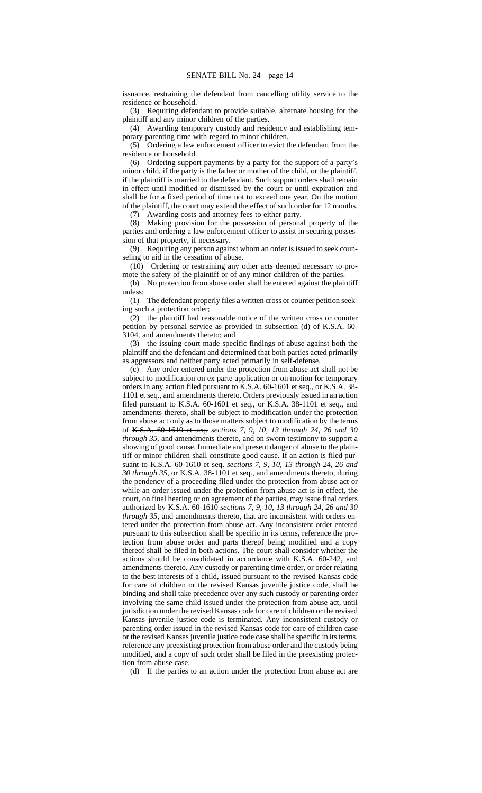issuance, restraining the defendant from cancelling utility service to the residence or household.

(3) Requiring defendant to provide suitable, alternate housing for the plaintiff and any minor children of the parties.

(4) Awarding temporary custody and residency and establishing temporary parenting time with regard to minor children.

(5) Ordering a law enforcement officer to evict the defendant from the residence or household.

(6) Ordering support payments by a party for the support of a party's minor child, if the party is the father or mother of the child, or the plaintiff, if the plaintiff is married to the defendant. Such support orders shall remain in effect until modified or dismissed by the court or until expiration and shall be for a fixed period of time not to exceed one year. On the motion of the plaintiff, the court may extend the effect of such order for 12 months.

(7) Awarding costs and attorney fees to either party.

(8) Making provision for the possession of personal property of the parties and ordering a law enforcement officer to assist in securing possession of that property, if necessary.

(9) Requiring any person against whom an order is issued to seek counseling to aid in the cessation of abuse.

(10) Ordering or restraining any other acts deemed necessary to promote the safety of the plaintiff or of any minor children of the parties.

(b) No protection from abuse order shall be entered against the plaintiff unless:

(1) The defendant properly files a written cross or counter petition seeking such a protection order;

(2) the plaintiff had reasonable notice of the written cross or counter petition by personal service as provided in subsection (d) of K.S.A. 60- 3104, and amendments thereto; and

(3) the issuing court made specific findings of abuse against both the plaintiff and the defendant and determined that both parties acted primarily as aggressors and neither party acted primarily in self-defense.

(c) Any order entered under the protection from abuse act shall not be subject to modification on ex parte application or on motion for temporary orders in any action filed pursuant to K.S.A. 60-1601 et seq., or K.S.A. 38- 1101 et seq., and amendments thereto. Orders previously issued in an action filed pursuant to K.S.A. 60-1601 et seq., or K.S.A. 38-1101 et seq., and amendments thereto, shall be subject to modification under the protection from abuse act only as to those matters subject to modification by the terms of K.S.A. 60-1610 et seq. *sections 7, 9, 10, 13 through 24, 26 and 30 through 35*, and amendments thereto, and on sworn testimony to support a showing of good cause. Immediate and present danger of abuse to the plaintiff or minor children shall constitute good cause. If an action is filed pursuant to K.S.A. 60-1610 et seq. *sections 7, 9, 10, 13 through 24, 26 and 30 through 35*, or K.S.A. 38-1101 et seq., and amendments thereto, during the pendency of a proceeding filed under the protection from abuse act or while an order issued under the protection from abuse act is in effect, the court, on final hearing or on agreement of the parties, may issue final orders authorized by K.S.A. 60-1610 *sections 7, 9, 10, 13 through 24, 26 and 30 through 35,* and amendments thereto, that are inconsistent with orders entered under the protection from abuse act. Any inconsistent order entered pursuant to this subsection shall be specific in its terms, reference the protection from abuse order and parts thereof being modified and a copy thereof shall be filed in both actions. The court shall consider whether the actions should be consolidated in accordance with K.S.A. 60-242*,* and amendments thereto. Any custody or parenting time order, or order relating to the best interests of a child, issued pursuant to the revised Kansas code for care of children or the revised Kansas juvenile justice code, shall be binding and shall take precedence over any such custody or parenting order involving the same child issued under the protection from abuse act, until jurisdiction under the revised Kansas code for care of children or the revised Kansas juvenile justice code is terminated. Any inconsistent custody or parenting order issued in the revised Kansas code for care of children case or the revised Kansas juvenile justice code case shall be specific in its terms, reference any preexisting protection from abuse order and the custody being modified, and a copy of such order shall be filed in the preexisting protection from abuse case.

(d) If the parties to an action under the protection from abuse act are